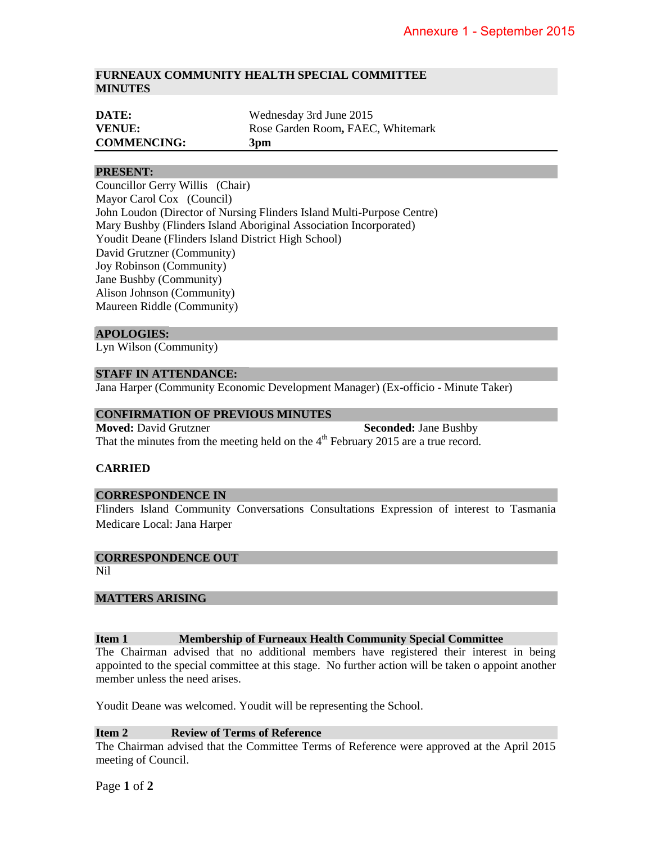## **FURNEAUX COMMUNITY HEALTH SPECIAL COMMITTEE MINUTES**

| DATE:              | Wednesday 3rd June 2015           |
|--------------------|-----------------------------------|
| <b>VENUE:</b>      | Rose Garden Room, FAEC, Whitemark |
| <b>COMMENCING:</b> | 3 <sub>pm</sub>                   |

## **PRESENT:**

Councillor Gerry Willis (Chair) Mayor Carol Cox (Council) John Loudon (Director of Nursing Flinders Island Multi-Purpose Centre) Mary Bushby (Flinders Island Aboriginal Association Incorporated) Youdit Deane (Flinders Island District High School) David Grutzner (Community) Joy Robinson (Community) Jane Bushby (Community) Alison Johnson (Community) Maureen Riddle (Community)

#### **APOLOGIES:**

Lyn Wilson (Community)

#### **STAFF IN ATTENDANCE:**

Jana Harper (Community Economic Development Manager) (Ex-officio - Minute Taker)

#### **CONFIRMATION OF PREVIOUS MINUTES**

**Moved:** David Grutzner **Seconded:** Jane Bushby That the minutes from the meeting held on the  $4<sup>th</sup>$  February 2015 are a true record.

## **CARRIED**

#### **CORRESPONDENCE IN**

Flinders Island Community Conversations Consultations Expression of interest to Tasmania Medicare Local: Jana Harper

# **CORRESPONDENCE OUT**

Nil

## **MATTERS ARISING**

## **Item 1 Membership of Furneaux Health Community Special Committee**

The Chairman advised that no additional members have registered their interest in being appointed to the special committee at this stage. No further action will be taken o appoint another member unless the need arises.

Youdit Deane was welcomed. Youdit will be representing the School.

## **Item 2 Review of Terms of Reference**

The Chairman advised that the Committee Terms of Reference were approved at the April 2015 meeting of Council.

Page **1** of **2**